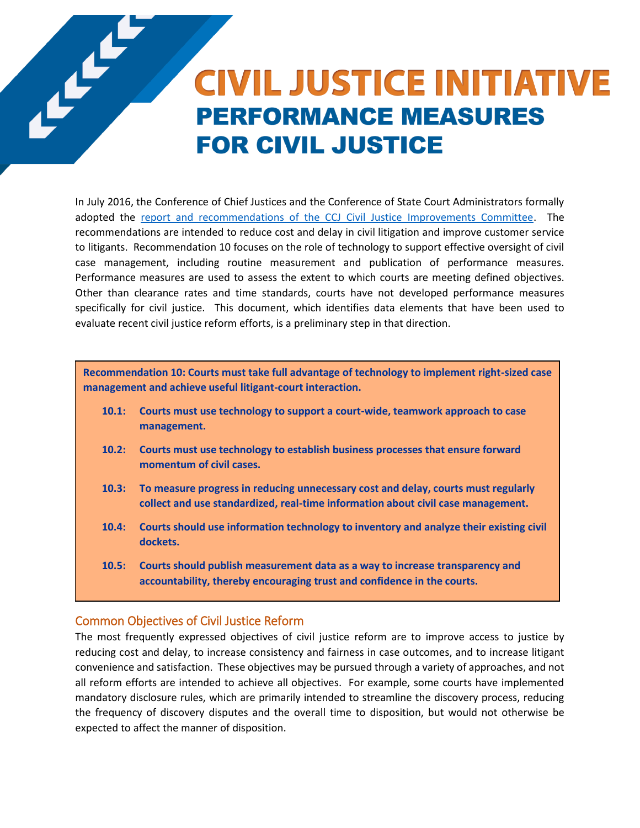# **CIVIL JUSTICE INITIATIVE PERFORMANCE MEASURES FOR CIVIL JUSTICE**

In July 2016, the Conference of Chief Justices and the Conference of State Court Administrators formally adopted the [report and recommendations of the CCJ Civil Justice Improvements Committee.](http://www.ncsc.org/~/media/Microsites/Files/Civil-Justice/NCSC-CJI-Report-Web.ashx) The recommendations are intended to reduce cost and delay in civil litigation and improve customer service to litigants. Recommendation 10 focuses on the role of technology to support effective oversight of civil case management, including routine measurement and publication of performance measures. Performance measures are used to assess the extent to which courts are meeting defined objectives. Other than clearance rates and time standards, courts have not developed performance measures specifically for civil justice. This document, which identifies data elements that have been used to evaluate recent civil justice reform efforts, is a preliminary step in that direction.

**Recommendation 10: Courts must take full advantage of technology to implement right-sized case management and achieve useful litigant-court interaction.** 

- **10.1: Courts must use technology to support a court-wide, teamwork approach to case management.**
- **10.2: Courts must use technology to establish business processes that ensure forward momentum of civil cases.**
- **10.3: To measure progress in reducing unnecessary cost and delay, courts must regularly collect and use standardized, real-time information about civil case management.**
- **10.4: Courts should use information technology to inventory and analyze their existing civil dockets.**
- **10.5: Courts should publish measurement data as a way to increase transparency and accountability, thereby encouraging trust and confidence in the courts.**

#### Common Objectives of Civil Justice Reform

The most frequently expressed objectives of civil justice reform are to improve access to justice by reducing cost and delay, to increase consistency and fairness in case outcomes, and to increase litigant convenience and satisfaction. These objectives may be pursued through a variety of approaches, and not all reform efforts are intended to achieve all objectives. For example, some courts have implemented mandatory disclosure rules, which are primarily intended to streamline the discovery process, reducing the frequency of discovery disputes and the overall time to disposition, but would not otherwise be expected to affect the manner of disposition.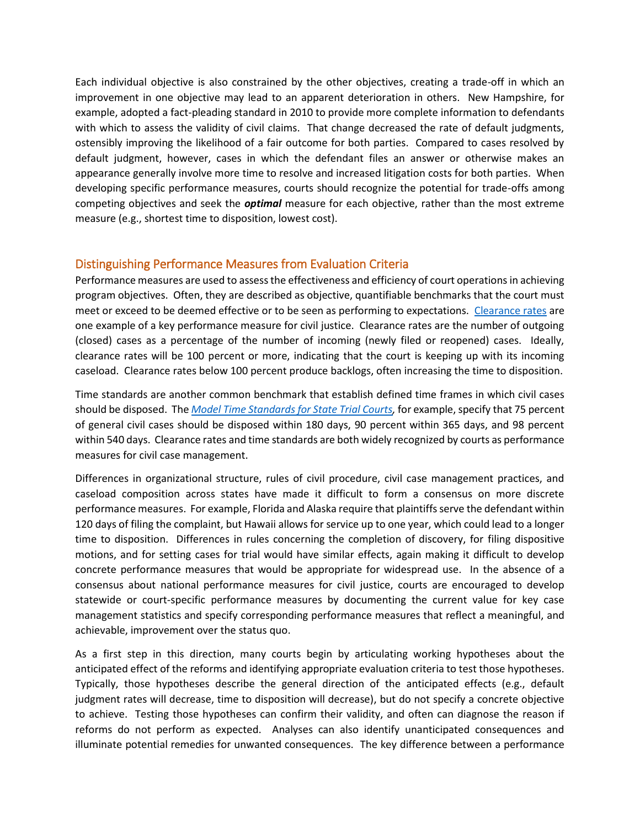Each individual objective is also constrained by the other objectives, creating a trade-off in which an improvement in one objective may lead to an apparent deterioration in others. New Hampshire, for example, adopted a fact-pleading standard in 2010 to provide more complete information to defendants with which to assess the validity of civil claims. That change decreased the rate of default judgments, ostensibly improving the likelihood of a fair outcome for both parties. Compared to cases resolved by default judgment, however, cases in which the defendant files an answer or otherwise makes an appearance generally involve more time to resolve and increased litigation costs for both parties. When developing specific performance measures, courts should recognize the potential for trade-offs among competing objectives and seek the *optimal* measure for each objective, rather than the most extreme measure (e.g., shortest time to disposition, lowest cost).

## Distinguishing Performance Measures from Evaluation Criteria

Performance measures are used to assess the effectiveness and efficiency of court operations in achieving program objectives. Often, they are described as objective, quantifiable benchmarks that the court must meet or exceed to be deemed effective or to be seen as performing to expectations. [Clearance rates](http://www.courtools.org/~/media/Microsites/Files/CourTools/courtools_Trial_measure2_Clearance_Rates.ashx) are one example of a key performance measure for civil justice. Clearance rates are the number of outgoing (closed) cases as a percentage of the number of incoming (newly filed or reopened) cases. Ideally, clearance rates will be 100 percent or more, indicating that the court is keeping up with its incoming caseload. Clearance rates below 100 percent produce backlogs, often increasing the time to disposition.

Time standards are another common benchmark that establish defined time frames in which civil cases should be disposed. The *[Model Time Standards for State Trial Courts,](http://www.ncsc.org/Services-and-Experts/Technology-tools/~/media/Files/PDF/CourtMD/Model-Time-Standards-for-State-Trial-Courts.ashx)* for example, specify that 75 percent of general civil cases should be disposed within 180 days, 90 percent within 365 days, and 98 percent within 540 days. Clearance rates and time standards are both widely recognized by courts as performance measures for civil case management.

Differences in organizational structure, rules of civil procedure, civil case management practices, and caseload composition across states have made it difficult to form a consensus on more discrete performance measures. For example, Florida and Alaska require that plaintiffs serve the defendant within 120 days of filing the complaint, but Hawaii allows for service up to one year, which could lead to a longer time to disposition. Differences in rules concerning the completion of discovery, for filing dispositive motions, and for setting cases for trial would have similar effects, again making it difficult to develop concrete performance measures that would be appropriate for widespread use. In the absence of a consensus about national performance measures for civil justice, courts are encouraged to develop statewide or court-specific performance measures by documenting the current value for key case management statistics and specify corresponding performance measures that reflect a meaningful, and achievable, improvement over the status quo.

As a first step in this direction, many courts begin by articulating working hypotheses about the anticipated effect of the reforms and identifying appropriate evaluation criteria to test those hypotheses. Typically, those hypotheses describe the general direction of the anticipated effects (e.g., default judgment rates will decrease, time to disposition will decrease), but do not specify a concrete objective to achieve. Testing those hypotheses can confirm their validity, and often can diagnose the reason if reforms do not perform as expected. Analyses can also identify unanticipated consequences and illuminate potential remedies for unwanted consequences. The key difference between a performance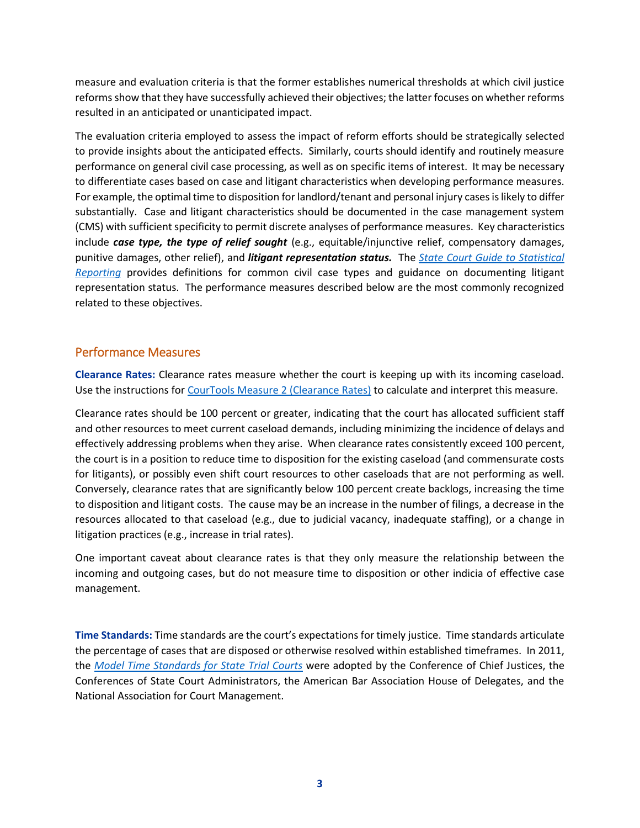measure and evaluation criteria is that the former establishes numerical thresholds at which civil justice reforms show that they have successfully achieved their objectives; the latter focuses on whether reforms resulted in an anticipated or unanticipated impact.

The evaluation criteria employed to assess the impact of reform efforts should be strategically selected to provide insights about the anticipated effects. Similarly, courts should identify and routinely measure performance on general civil case processing, as well as on specific items of interest. It may be necessary to differentiate cases based on case and litigant characteristics when developing performance measures. For example, the optimal time to disposition for landlord/tenant and personal injury cases is likely to differ substantially. Case and litigant characteristics should be documented in the case management system (CMS) with sufficient specificity to permit discrete analyses of performance measures. Key characteristics include *case type, the type of relief sought* (e.g., equitable/injunctive relief, compensatory damages, punitive damages, other relief), and *litigant representation status.* The *[State Court Guide to Statistical](http://www.courtstatistics.org/other-pages/publications/guide-to-statistical-reporting.aspx)  [Reporting](http://www.courtstatistics.org/other-pages/publications/guide-to-statistical-reporting.aspx)* provides definitions for common civil case types and guidance on documenting litigant representation status. The performance measures described below are the most commonly recognized related to these objectives.

## Performance Measures

**Clearance Rates:** Clearance rates measure whether the court is keeping up with its incoming caseload. Use the instructions fo[r CourTools Measure 2 \(Clearance Rates\)](http://www.courtools.org/~/media/Microsites/Files/CourTools/courtools_Trial_measure2_Clearance_Rates.ashx) to calculate and interpret this measure.

Clearance rates should be 100 percent or greater, indicating that the court has allocated sufficient staff and other resources to meet current caseload demands, including minimizing the incidence of delays and effectively addressing problems when they arise. When clearance rates consistently exceed 100 percent, the court is in a position to reduce time to disposition for the existing caseload (and commensurate costs for litigants), or possibly even shift court resources to other caseloads that are not performing as well. Conversely, clearance rates that are significantly below 100 percent create backlogs, increasing the time to disposition and litigant costs. The cause may be an increase in the number of filings, a decrease in the resources allocated to that caseload (e.g., due to judicial vacancy, inadequate staffing), or a change in litigation practices (e.g., increase in trial rates).

One important caveat about clearance rates is that they only measure the relationship between the incoming and outgoing cases, but do not measure time to disposition or other indicia of effective case management.

**Time Standards:** Time standards are the court's expectations for timely justice. Time standards articulate the percentage of cases that are disposed or otherwise resolved within established timeframes. In 2011, the *[Model Time Standards for State Trial Courts](http://www.ncsc.org/Services-and-Experts/Technology-tools/~/media/Files/PDF/CourtMD/Model-Time-Standards-for-State-Trial-Courts.ashx)* were adopted by the Conference of Chief Justices, the Conferences of State Court Administrators, the American Bar Association House of Delegates, and the National Association for Court Management.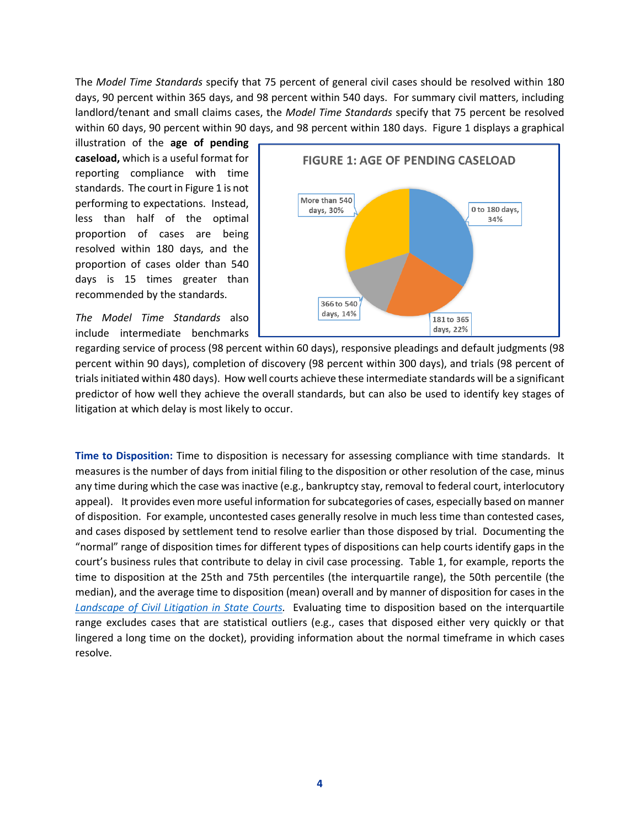The *Model Time Standards* specify that 75 percent of general civil cases should be resolved within 180 days, 90 percent within 365 days, and 98 percent within 540 days. For summary civil matters, including landlord/tenant and small claims cases, the *Model Time Standards* specify that 75 percent be resolved within 60 days, 90 percent within 90 days, and 98 percent within 180 days. Figure 1 displays a graphical

illustration of the **age of pending caseload,** which is a useful format for reporting compliance with time standards. The court in Figure 1 is not performing to expectations. Instead, less than half of the optimal proportion of cases are being resolved within 180 days, and the proportion of cases older than 540 days is 15 times greater than recommended by the standards.

*The Model Time Standards* also include intermediate benchmarks



regarding service of process (98 percent within 60 days), responsive pleadings and default judgments (98 percent within 90 days), completion of discovery (98 percent within 300 days), and trials (98 percent of trials initiated within 480 days). How well courts achieve these intermediate standards will be a significant predictor of how well they achieve the overall standards, but can also be used to identify key stages of litigation at which delay is most likely to occur.

**Time to Disposition:** Time to disposition is necessary for assessing compliance with time standards. It measures is the number of days from initial filing to the disposition or other resolution of the case, minus any time during which the case was inactive (e.g., bankruptcy stay, removal to federal court, interlocutory appeal). It provides even more useful information for subcategories of cases, especially based on manner of disposition. For example, uncontested cases generally resolve in much less time than contested cases, and cases disposed by settlement tend to resolve earlier than those disposed by trial. Documenting the "normal" range of disposition times for different types of dispositions can help courts identify gaps in the court's business rules that contribute to delay in civil case processing. Table 1, for example, reports the time to disposition at the 25th and 75th percentiles (the interquartile range), the 50th percentile (the median), and the average time to disposition (mean) overall and by manner of disposition for cases in the *[Landscape of Civil Litigation in](http://www.ncsc.org/~/media/Files/PDF/Research/CivilJusticeReport-2015.ashx) State Courts.* Evaluating time to disposition based on the interquartile range excludes cases that are statistical outliers (e.g., cases that disposed either very quickly or that lingered a long time on the docket), providing information about the normal timeframe in which cases resolve.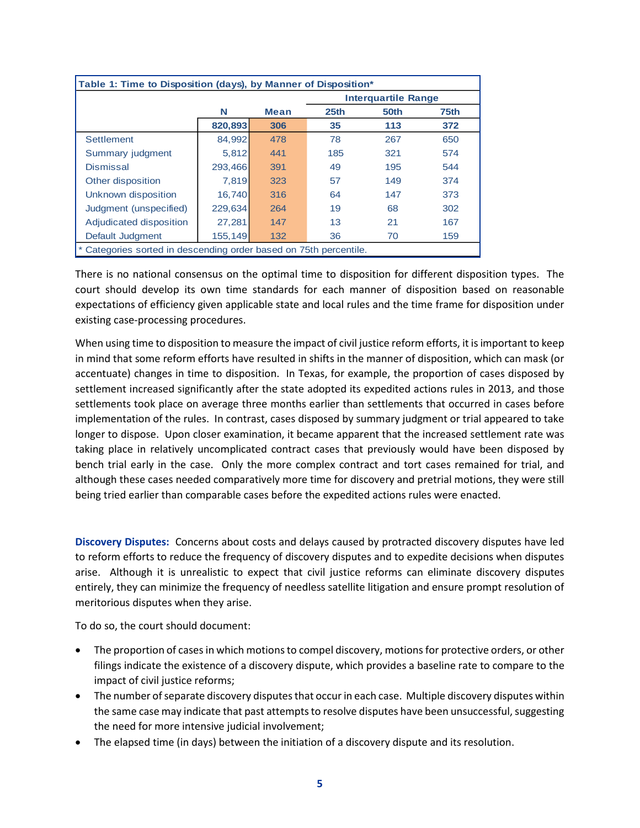| Table 1: Time to Disposition (days), by Manner of Disposition*  |         |             |                            |      |                  |
|-----------------------------------------------------------------|---------|-------------|----------------------------|------|------------------|
|                                                                 |         |             | <b>Interquartile Range</b> |      |                  |
|                                                                 | N       | <b>Mean</b> | 25 <sub>th</sub>           | 50th | 75 <sub>th</sub> |
|                                                                 | 820,893 | 306         | 35                         | 113  | 372              |
| <b>Settlement</b>                                               | 84.992  | 478         | 78                         | 267  | 650              |
| Summary judgment                                                | 5.812   | 441         | 185                        | 321  | 574              |
| <b>Dismissal</b>                                                | 293,466 | 391         | 49                         | 195  | 544              |
| Other disposition                                               | 7.819   | 323         | 57                         | 149  | 374              |
| Unknown disposition                                             | 16.740  | 316         | 64                         | 147  | 373              |
| Judgment (unspecified)                                          | 229.634 | 264         | 19                         | 68   | 302              |
| Adjudicated disposition                                         | 27,281  | 147         | 13                         | 21   | 167              |
| Default Judgment                                                | 155,149 | 132         | 36                         | 70   | 159              |
| Categories sorted in descending order based on 75th percentile. |         |             |                            |      |                  |

There is no national consensus on the optimal time to disposition for different disposition types. The court should develop its own time standards for each manner of disposition based on reasonable expectations of efficiency given applicable state and local rules and the time frame for disposition under existing case-processing procedures.

When using time to disposition to measure the impact of civil justice reform efforts, it is important to keep in mind that some reform efforts have resulted in shifts in the manner of disposition, which can mask (or accentuate) changes in time to disposition. In Texas, for example, the proportion of cases disposed by settlement increased significantly after the state adopted its expedited actions rules in 2013, and those settlements took place on average three months earlier than settlements that occurred in cases before implementation of the rules. In contrast, cases disposed by summary judgment or trial appeared to take longer to dispose. Upon closer examination, it became apparent that the increased settlement rate was taking place in relatively uncomplicated contract cases that previously would have been disposed by bench trial early in the case. Only the more complex contract and tort cases remained for trial, and although these cases needed comparatively more time for discovery and pretrial motions, they were still being tried earlier than comparable cases before the expedited actions rules were enacted.

**Discovery Disputes:** Concerns about costs and delays caused by protracted discovery disputes have led to reform efforts to reduce the frequency of discovery disputes and to expedite decisions when disputes arise. Although it is unrealistic to expect that civil justice reforms can eliminate discovery disputes entirely, they can minimize the frequency of needless satellite litigation and ensure prompt resolution of meritorious disputes when they arise.

To do so, the court should document:

- The proportion of cases in which motions to compel discovery, motions for protective orders, or other filings indicate the existence of a discovery dispute, which provides a baseline rate to compare to the impact of civil justice reforms;
- The number of separate discovery disputes that occur in each case. Multiple discovery disputes within the same case may indicate that past attempts to resolve disputes have been unsuccessful, suggesting the need for more intensive judicial involvement;
- The elapsed time (in days) between the initiation of a discovery dispute and its resolution.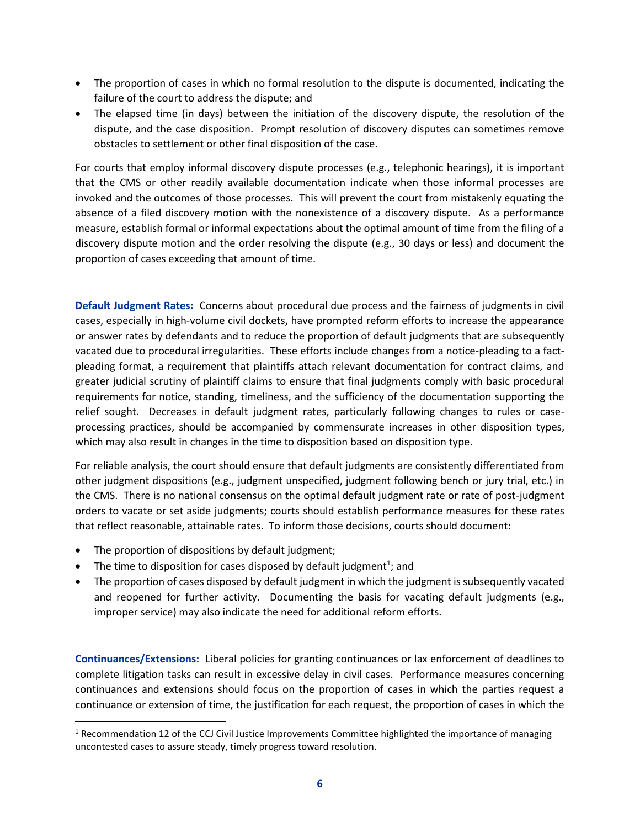- The proportion of cases in which no formal resolution to the dispute is documented, indicating the failure of the court to address the dispute; and
- The elapsed time (in days) between the initiation of the discovery dispute, the resolution of the dispute, and the case disposition. Prompt resolution of discovery disputes can sometimes remove obstacles to settlement or other final disposition of the case.

For courts that employ informal discovery dispute processes (e.g., telephonic hearings), it is important that the CMS or other readily available documentation indicate when those informal processes are invoked and the outcomes of those processes. This will prevent the court from mistakenly equating the absence of a filed discovery motion with the nonexistence of a discovery dispute. As a performance measure, establish formal or informal expectations about the optimal amount of time from the filing of a discovery dispute motion and the order resolving the dispute (e.g., 30 days or less) and document the proportion of cases exceeding that amount of time.

**Default Judgment Rates:** Concerns about procedural due process and the fairness of judgments in civil cases, especially in high-volume civil dockets, have prompted reform efforts to increase the appearance or answer rates by defendants and to reduce the proportion of default judgments that are subsequently vacated due to procedural irregularities. These efforts include changes from a notice-pleading to a factpleading format, a requirement that plaintiffs attach relevant documentation for contract claims, and greater judicial scrutiny of plaintiff claims to ensure that final judgments comply with basic procedural requirements for notice, standing, timeliness, and the sufficiency of the documentation supporting the relief sought. Decreases in default judgment rates, particularly following changes to rules or caseprocessing practices, should be accompanied by commensurate increases in other disposition types, which may also result in changes in the time to disposition based on disposition type.

For reliable analysis, the court should ensure that default judgments are consistently differentiated from other judgment dispositions (e.g., judgment unspecified, judgment following bench or jury trial, etc.) in the CMS. There is no national consensus on the optimal default judgment rate or rate of post-judgment orders to vacate or set aside judgments; courts should establish performance measures for these rates that reflect reasonable, attainable rates. To inform those decisions, courts should document:

• The proportion of dispositions by default judgment;

l

- The time to disposition for cases disposed by default judgment<sup>1</sup>; and
- The proportion of cases disposed by default judgment in which the judgment is subsequently vacated and reopened for further activity. Documenting the basis for vacating default judgments (e.g., improper service) may also indicate the need for additional reform efforts.

**Continuances/Extensions:** Liberal policies for granting continuances or lax enforcement of deadlines to complete litigation tasks can result in excessive delay in civil cases. Performance measures concerning continuances and extensions should focus on the proportion of cases in which the parties request a continuance or extension of time, the justification for each request, the proportion of cases in which the

 $1$  Recommendation 12 of the CCJ Civil Justice Improvements Committee highlighted the importance of managing uncontested cases to assure steady, timely progress toward resolution.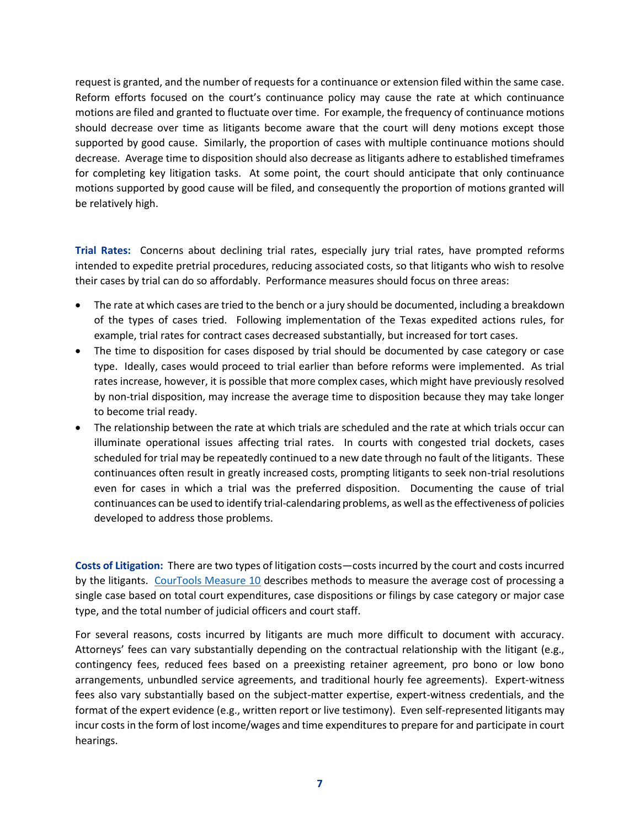request is granted, and the number of requests for a continuance or extension filed within the same case. Reform efforts focused on the court's continuance policy may cause the rate at which continuance motions are filed and granted to fluctuate over time. For example, the frequency of continuance motions should decrease over time as litigants become aware that the court will deny motions except those supported by good cause. Similarly, the proportion of cases with multiple continuance motions should decrease. Average time to disposition should also decrease as litigants adhere to established timeframes for completing key litigation tasks. At some point, the court should anticipate that only continuance motions supported by good cause will be filed, and consequently the proportion of motions granted will be relatively high.

**Trial Rates:** Concerns about declining trial rates, especially jury trial rates, have prompted reforms intended to expedite pretrial procedures, reducing associated costs, so that litigants who wish to resolve their cases by trial can do so affordably. Performance measures should focus on three areas:

- The rate at which cases are tried to the bench or a jury should be documented, including a breakdown of the types of cases tried. Following implementation of the Texas expedited actions rules, for example, trial rates for contract cases decreased substantially, but increased for tort cases.
- The time to disposition for cases disposed by trial should be documented by case category or case type. Ideally, cases would proceed to trial earlier than before reforms were implemented. As trial rates increase, however, it is possible that more complex cases, which might have previously resolved by non-trial disposition, may increase the average time to disposition because they may take longer to become trial ready.
- The relationship between the rate at which trials are scheduled and the rate at which trials occur can illuminate operational issues affecting trial rates. In courts with congested trial dockets, cases scheduled for trial may be repeatedly continued to a new date through no fault of the litigants. These continuances often result in greatly increased costs, prompting litigants to seek non-trial resolutions even for cases in which a trial was the preferred disposition. Documenting the cause of trial continuances can be used to identify trial-calendaring problems, as well as the effectiveness of policies developed to address those problems.

**Costs of Litigation:** There are two types of litigation costs—costs incurred by the court and costs incurred by the litigants. [CourTools Measure 10](http://www.courtools.org/~/media/Microsites/Files/CourTools/courtools_Trial_measure10_Cost_Per_Case.ashx) describes methods to measure the average cost of processing a single case based on total court expenditures, case dispositions or filings by case category or major case type, and the total number of judicial officers and court staff.

For several reasons, costs incurred by litigants are much more difficult to document with accuracy. Attorneys' fees can vary substantially depending on the contractual relationship with the litigant (e.g., contingency fees, reduced fees based on a preexisting retainer agreement, pro bono or low bono arrangements, unbundled service agreements, and traditional hourly fee agreements). Expert-witness fees also vary substantially based on the subject-matter expertise, expert-witness credentials, and the format of the expert evidence (e.g., written report or live testimony). Even self-represented litigants may incur costs in the form of lost income/wages and time expenditures to prepare for and participate in court hearings.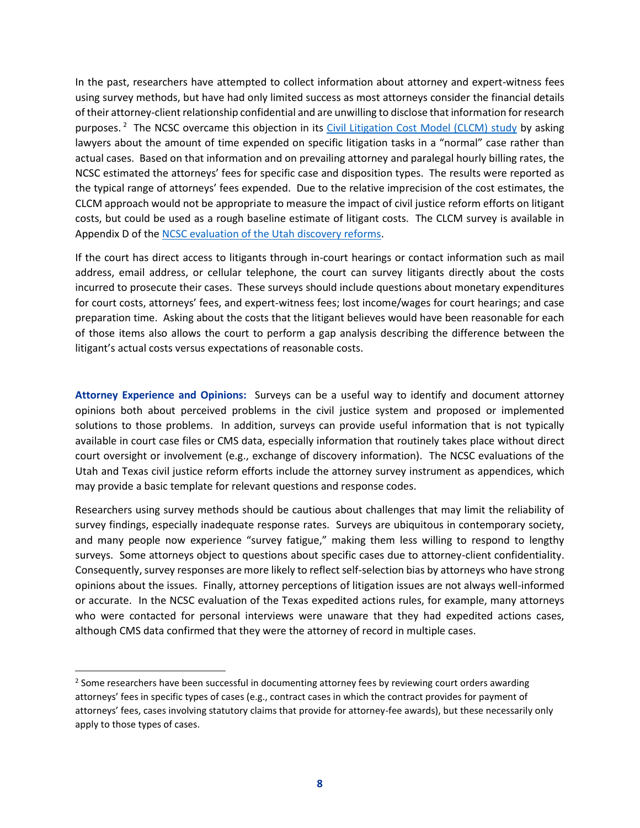In the past, researchers have attempted to collect information about attorney and expert-witness fees using survey methods, but have had only limited success as most attorneys consider the financial details of their attorney-client relationship confidential and are unwilling to disclose that information for research purposes.<sup>2</sup> The NCSC overcame this objection in its *Civil Litigation Cost Model (CLCM) study* by asking lawyers about the amount of time expended on specific litigation tasks in a "normal" case rather than actual cases. Based on that information and on prevailing attorney and paralegal hourly billing rates, the NCSC estimated the attorneys' fees for specific case and disposition types. The results were reported as the typical range of attorneys' fees expended. Due to the relative imprecision of the cost estimates, the CLCM approach would not be appropriate to measure the impact of civil justice reform efforts on litigant costs, but could be used as a rough baseline estimate of litigant costs. The CLCM survey is available in Appendix D of the [NCSC evaluation of the Utah discovery reforms.](http://www.ncsc.org/~/media/Files/PDF/Topics/Civil%20Procedure/Utah%20Rule%2026%20Evaluation%20Final%20Report(2015).ashx)

If the court has direct access to litigants through in-court hearings or contact information such as mail address, email address, or cellular telephone, the court can survey litigants directly about the costs incurred to prosecute their cases. These surveys should include questions about monetary expenditures for court costs, attorneys' fees, and expert-witness fees; lost income/wages for court hearings; and case preparation time. Asking about the costs that the litigant believes would have been reasonable for each of those items also allows the court to perform a gap analysis describing the difference between the litigant's actual costs versus expectations of reasonable costs.

**Attorney Experience and Opinions:** Surveys can be a useful way to identify and document attorney opinions both about perceived problems in the civil justice system and proposed or implemented solutions to those problems. In addition, surveys can provide useful information that is not typically available in court case files or CMS data, especially information that routinely takes place without direct court oversight or involvement (e.g., exchange of discovery information). The NCSC evaluations of the Utah and Texas civil justice reform efforts include the attorney survey instrument as appendices, which may provide a basic template for relevant questions and response codes.

Researchers using survey methods should be cautious about challenges that may limit the reliability of survey findings, especially inadequate response rates. Surveys are ubiquitous in contemporary society, and many people now experience "survey fatigue," making them less willing to respond to lengthy surveys. Some attorneys object to questions about specific cases due to attorney-client confidentiality. Consequently, survey responses are more likely to reflect self-selection bias by attorneys who have strong opinions about the issues. Finally, attorney perceptions of litigation issues are not always well-informed or accurate. In the NCSC evaluation of the Texas expedited actions rules, for example, many attorneys who were contacted for personal interviews were unaware that they had expedited actions cases, although CMS data confirmed that they were the attorney of record in multiple cases.

 $\overline{a}$ 

 $2$  Some researchers have been successful in documenting attorney fees by reviewing court orders awarding attorneys' fees in specific types of cases (e.g., contract cases in which the contract provides for payment of attorneys' fees, cases involving statutory claims that provide for attorney-fee awards), but these necessarily only apply to those types of cases.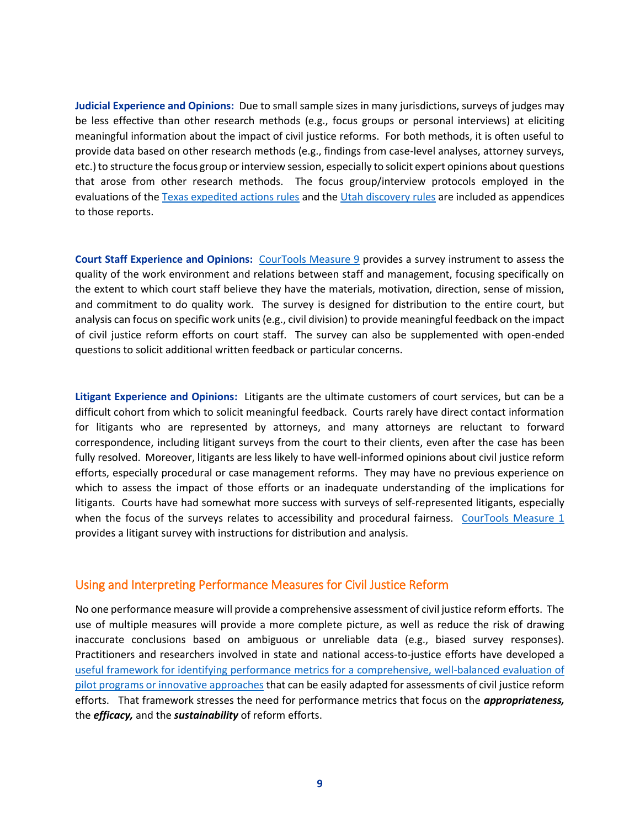**Judicial Experience and Opinions:** Due to small sample sizes in many jurisdictions, surveys of judges may be less effective than other research methods (e.g., focus groups or personal interviews) at eliciting meaningful information about the impact of civil justice reforms. For both methods, it is often useful to provide data based on other research methods (e.g., findings from case-level analyses, attorney surveys, etc.) to structure the focus group or interview session, especially to solicit expert opinions about questions that arose from other research methods. The focus group/interview protocols employed in the evaluations of the [Texas expedited actions rules](http://www.ncsc.org/~/media/Microsites/Files/Civil-Justice/TexasImpactoftheExeditedActionsRulespdf.ashx) and th[e Utah discovery rules](http://www.ncsc.org/~/media/files/pdf/topics/civil%20procedure/utah%20rule%2026%20evaluation%20final%20report(2015).ashx) are included as appendices to those reports.

**Court Staff Experience and Opinions:** [CourTools Measure 9](http://www.courtools.org/~/media/Microsites/Files/CourTools/courtools_Trial_measure9_Court_Employee_Satisfaction.ashx) provides a survey instrument to assess the quality of the work environment and relations between staff and management, focusing specifically on the extent to which court staff believe they have the materials, motivation, direction, sense of mission, and commitment to do quality work. The survey is designed for distribution to the entire court, but analysis can focus on specific work units (e.g., civil division) to provide meaningful feedback on the impact of civil justice reform efforts on court staff. The survey can also be supplemented with open-ended questions to solicit additional written feedback or particular concerns.

**Litigant Experience and Opinions:** Litigants are the ultimate customers of court services, but can be a difficult cohort from which to solicit meaningful feedback. Courts rarely have direct contact information for litigants who are represented by attorneys, and many attorneys are reluctant to forward correspondence, including litigant surveys from the court to their clients, even after the case has been fully resolved. Moreover, litigants are less likely to have well-informed opinions about civil justice reform efforts, especially procedural or case management reforms. They may have no previous experience on which to assess the impact of those efforts or an inadequate understanding of the implications for litigants. Courts have had somewhat more success with surveys of self-represented litigants, especially when the focus of the surveys relates to accessibility and procedural fairness. [CourTools Measure 1](http://www.courtools.org/~/media/Microsites/Files/CourTools/courtools_Trial_measure1_access_and_fairness.ashx) provides a litigant survey with instructions for distribution and analysis.

#### Using and Interpreting Performance Measures for Civil Justice Reform

No one performance measure will provide a comprehensive assessment of civil justice reform efforts. The use of multiple measures will provide a more complete picture, as well as reduce the risk of drawing inaccurate conclusions based on ambiguous or unreliable data (e.g., biased survey responses). Practitioners and researchers involved in state and national access-to-justice efforts have developed a [useful framework for identifying performance metrics for a comprehensive, well-balanced evaluation of](http://www.americanbarfoundation.org/uploads/cms/documents/rbl_evaluation_and_program_design_frameworks_4_12_15.pdf)  [pilot programs or innovative approaches](http://www.americanbarfoundation.org/uploads/cms/documents/rbl_evaluation_and_program_design_frameworks_4_12_15.pdf) that can be easily adapted for assessments of civil justice reform efforts. That framework stresses the need for performance metrics that focus on the *appropriateness,*  the *efficacy,* and the *sustainability* of reform efforts.